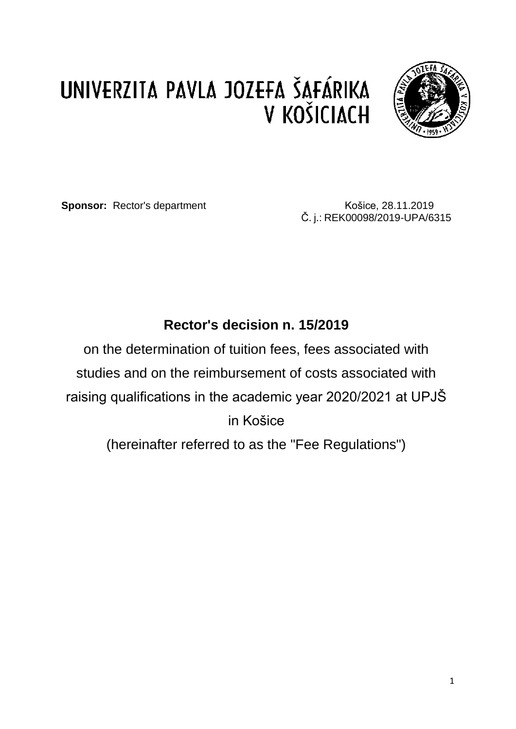# UNIVERZITA PAVLA JOZEFA ŠAFÁRIKA V KOŠICIACH



**Sponsor:** Rector's department **COSEC 128.11.2019** 

Č. j.: REK00098/2019-UPA/6315

# **Rector's decision n. 15/2019**

on the determination of tuition fees, fees associated with studies and on the reimbursement of costs associated with raising qualifications in the academic year 2020/2021 at UPJŠ in Košice (hereinafter referred to as the "Fee Regulations")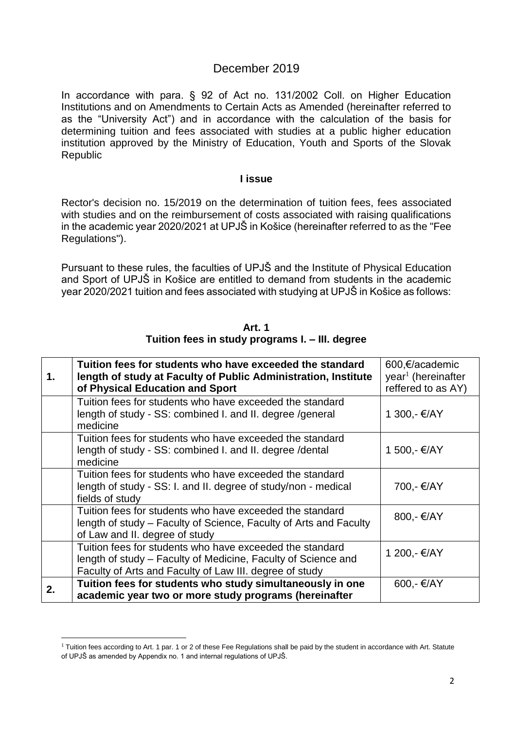### December 2019

In accordance with para. § 92 of Act no. 131/2002 Coll. on Higher Education Institutions and on Amendments to Certain Acts as Amended (hereinafter referred to as the "University Act") and in accordance with the calculation of the basis for determining tuition and fees associated with studies at a public higher education institution approved by the Ministry of Education, Youth and Sports of the Slovak Republic

#### **I issue**

Rector's decision no. 15/2019 on the determination of tuition fees, fees associated with studies and on the reimbursement of costs associated with raising qualifications in the academic year 2020/2021 at UPJŠ in Košice (hereinafter referred to as the "Fee Regulations").

Pursuant to these rules, the faculties of UPJŠ and the Institute of Physical Education and Sport of UPJŠ in Košice are entitled to demand from students in the academic year 2020/2021 tuition and fees associated with studying at UPJŠ in Košice as follows:

| 1. | Tuition fees for students who have exceeded the standard<br>length of study at Faculty of Public Administration, Institute<br>of Physical Education and Sport                        | 600,€/academic<br>year <sup>1</sup> (hereinafter<br>reffered to as AY) |
|----|--------------------------------------------------------------------------------------------------------------------------------------------------------------------------------------|------------------------------------------------------------------------|
|    | Tuition fees for students who have exceeded the standard<br>length of study - SS: combined I. and II. degree / general<br>medicine                                                   | 1 300,- €/AY                                                           |
|    | Tuition fees for students who have exceeded the standard<br>length of study - SS: combined I. and II. degree / dental<br>medicine                                                    | 1 500,- €/AY                                                           |
|    | Tuition fees for students who have exceeded the standard<br>length of study - SS: I. and II. degree of study/non - medical<br>fields of study                                        | 700,- €/AY                                                             |
|    | Tuition fees for students who have exceeded the standard<br>length of study – Faculty of Science, Faculty of Arts and Faculty<br>of Law and II. degree of study                      | 800,- €/AY                                                             |
|    | Tuition fees for students who have exceeded the standard<br>length of study – Faculty of Medicine, Faculty of Science and<br>Faculty of Arts and Faculty of Law III. degree of study | 1 200,- €/AY                                                           |
| 2. | Tuition fees for students who study simultaneously in one<br>academic year two or more study programs (hereinafter                                                                   | 600,- €/AY                                                             |

**Art. 1 Tuition fees in study programs I. – III. degree**

**.** 

 $1$  Tuition fees according to Art. 1 par. 1 or 2 of these Fee Regulations shall be paid by the student in accordance with Art. Statute of UPJŠ as amended by Appendix no. 1 and internal regulations of UPJŠ.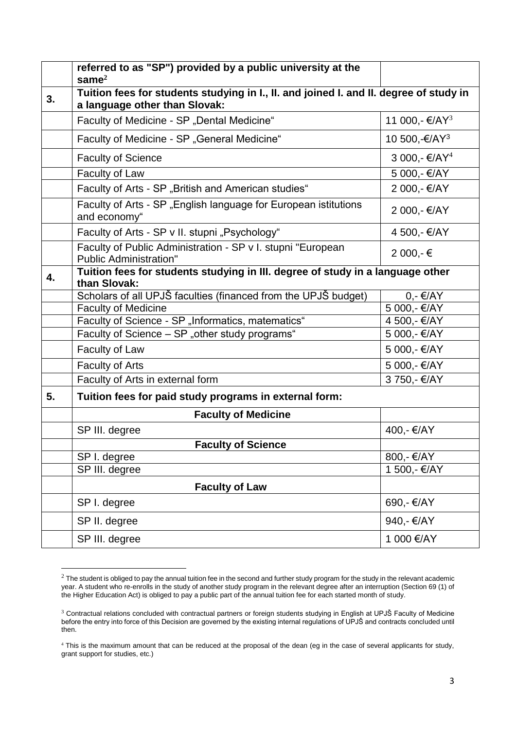|    | referred to as "SP") provided by a public university at the<br>same $2$                                                 |                            |
|----|-------------------------------------------------------------------------------------------------------------------------|----------------------------|
| 3. | Tuition fees for students studying in I., II. and joined I. and II. degree of study in<br>a language other than Slovak: |                            |
|    | Faculty of Medicine - SP "Dental Medicine"                                                                              | 11 000,- €/AY <sup>3</sup> |
|    | Faculty of Medicine - SP "General Medicine"                                                                             | 10 500,-€/AY <sup>3</sup>  |
|    | <b>Faculty of Science</b>                                                                                               | 3 000,- €/AY <sup>4</sup>  |
|    | Faculty of Law                                                                                                          | 5 000,- €/AY               |
|    | Faculty of Arts - SP "British and American studies"                                                                     | 2 000,- €/AY               |
|    | Faculty of Arts - SP "English language for European istitutions<br>and economy"                                         | 2 000,- €/AY               |
|    | Faculty of Arts - SP v II. stupni "Psychology"                                                                          | 4 500,- €/AY               |
|    | Faculty of Public Administration - SP v I. stupni "European<br><b>Public Administration"</b>                            | 2 000,-€                   |
| 4. | Tuition fees for students studying in III. degree of study in a language other<br>than Slovak:                          |                            |
|    | Scholars of all UPJŠ faculties (financed from the UPJŠ budget)                                                          | $0, -\epsilon$ /AY         |
|    | <b>Faculty of Medicine</b>                                                                                              | 5 000,- €/AY               |
|    | Faculty of Science - SP "Informatics, matematics"                                                                       | 4 500,- €/AY               |
|    | Faculty of Science - SP "other study programs"                                                                          | 5 000,- €/AY               |
|    | Faculty of Law                                                                                                          | 5 000,- €/AY               |
|    | <b>Faculty of Arts</b>                                                                                                  | 5 000,- €/AY               |
|    | Faculty of Arts in external form                                                                                        | 3 750,- €/AY               |
| 5. | Tuition fees for paid study programs in external form:                                                                  |                            |
|    | <b>Faculty of Medicine</b>                                                                                              |                            |
|    | SP III. degree                                                                                                          | 400,- €/AY                 |
|    | <b>Faculty of Science</b>                                                                                               |                            |
|    | SP I. degree                                                                                                            | 800,- €/AY                 |
|    | SP III. degree                                                                                                          | 1 500,- €/AY               |
|    | <b>Faculty of Law</b>                                                                                                   |                            |
|    | SP I. degree                                                                                                            | 690,- €/AY                 |
|    | SP II. degree                                                                                                           | 940,- €/AY                 |
|    | SP III. degree                                                                                                          | 1 000 €/AY                 |

 $2$  The student is obliged to pay the annual tuition fee in the second and further study program for the study in the relevant academic year. A student who re-enrolls in the study of another study program in the relevant degree after an interruption (Section 69 (1) of the Higher Education Act) is obliged to pay a public part of the annual tuition fee for each started month of study.

**.** 

 $3$  Contractual relations concluded with contractual partners or foreign students studying in English at UPJŠ Faculty of Medicine before the entry into force of this Decision are governed by the existing internal regulations of UPJŠ and contracts concluded until then.

<sup>&</sup>lt;sup>4</sup> This is the maximum amount that can be reduced at the proposal of the dean (eg in the case of several applicants for study, grant support for studies, etc.)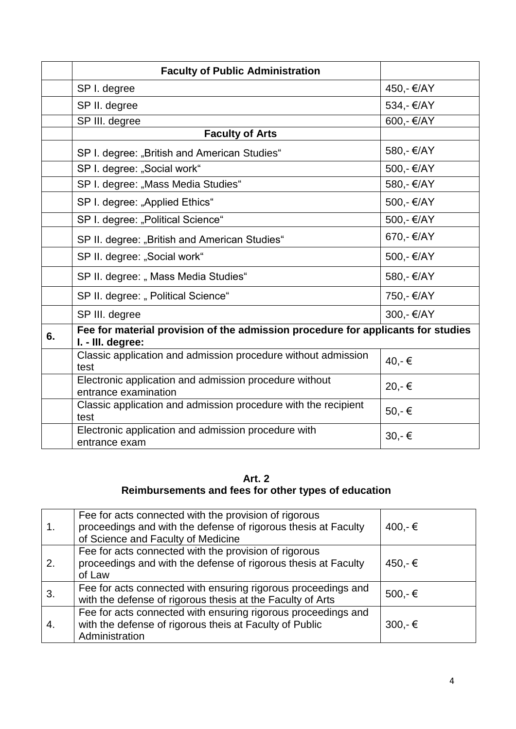|    | <b>Faculty of Public Administration</b>                                                               |            |
|----|-------------------------------------------------------------------------------------------------------|------------|
|    | SP I. degree                                                                                          | 450,- €/AY |
|    | SP II. degree                                                                                         | 534,- €/AY |
|    | SP III. degree                                                                                        | 600,- €/AY |
|    | <b>Faculty of Arts</b>                                                                                |            |
|    | SP I. degree: "British and American Studies"                                                          | 580,- €/AY |
|    | SP I. degree: "Social work"                                                                           | 500,- €/AY |
|    | SP I. degree: "Mass Media Studies"                                                                    | 580,- €/AY |
|    | SP I. degree: "Applied Ethics"                                                                        | 500,- €/AY |
|    | SP I. degree: "Political Science"                                                                     | 500,- €/AY |
|    | SP II. degree: "British and American Studies"                                                         | 670,- €/AY |
|    | SP II. degree: "Social work"                                                                          | 500,- €/AY |
|    | SP II. degree: " Mass Media Studies"                                                                  | 580,- €/AY |
|    | SP II. degree: " Political Science"                                                                   | 750,- €/AY |
|    | SP III. degree                                                                                        | 300,- €/AY |
| 6. | Fee for material provision of the admission procedure for applicants for studies<br>I. - III. degree: |            |
|    | Classic application and admission procedure without admission<br>test                                 | 40,-€      |
|    | Electronic application and admission procedure without<br>entrance examination                        | 20,-€      |
|    | Classic application and admission procedure with the recipient<br>test                                | 50,-€      |
|    | Electronic application and admission procedure with<br>entrance exam                                  | 30,-€      |

#### **Art. 2 Reimbursements and fees for other types of education**

|    | Fee for acts connected with the provision of rigorous<br>proceedings and with the defense of rigorous thesis at Faculty<br>of Science and Faculty of Medicine | 400,-€    |
|----|---------------------------------------------------------------------------------------------------------------------------------------------------------------|-----------|
| 2. | Fee for acts connected with the provision of rigorous<br>proceedings and with the defense of rigorous thesis at Faculty<br>of Law                             | 450,-€    |
| 3. | Fee for acts connected with ensuring rigorous proceedings and<br>with the defense of rigorous thesis at the Faculty of Arts                                   | 500,- €   |
| 4. | Fee for acts connected with ensuring rigorous proceedings and<br>with the defense of rigorous theis at Faculty of Public<br>Administration                    | $300,-$ € |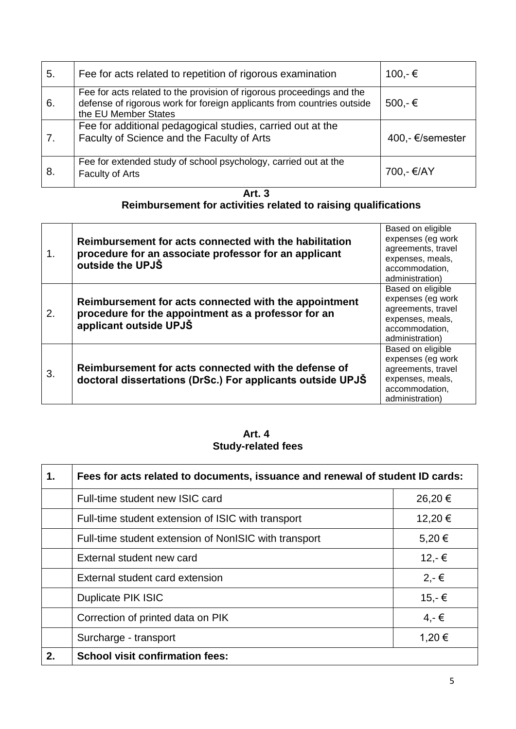| 5. | Fee for acts related to repetition of rigorous examination                                                                                                              | 100,-€           |
|----|-------------------------------------------------------------------------------------------------------------------------------------------------------------------------|------------------|
| 6. | Fee for acts related to the provision of rigorous proceedings and the<br>defense of rigorous work for foreign applicants from countries outside<br>the EU Member States | $500,-$ €        |
| 7. | Fee for additional pedagogical studies, carried out at the<br>Faculty of Science and the Faculty of Arts                                                                | 400,- €/semester |
| 8. | Fee for extended study of school psychology, carried out at the<br>Faculty of Arts                                                                                      | 700,- €/AY       |

**Art. 3**

## **Reimbursement for activities related to raising qualifications**

| 1. | Reimbursement for acts connected with the habilitation<br>procedure for an associate professor for an applicant<br>outside the UPJS    | Based on eligible<br>expenses (eg work<br>agreements, travel<br>expenses, meals,<br>accommodation,<br>administration) |
|----|----------------------------------------------------------------------------------------------------------------------------------------|-----------------------------------------------------------------------------------------------------------------------|
| 2. | Reimbursement for acts connected with the appointment<br>procedure for the appointment as a professor for an<br>applicant outside UPJS | Based on eligible<br>expenses (eg work<br>agreements, travel<br>expenses, meals,<br>accommodation,<br>administration) |
| 3. | Reimbursement for acts connected with the defense of<br>doctoral dissertations (DrSc.) For applicants outside UPJS                     | Based on eligible<br>expenses (eg work<br>agreements, travel<br>expenses, meals,<br>accommodation,<br>administration) |

**Art. 4 Study-related fees**

| 1. | Fees for acts related to documents, issuance and renewal of student ID cards: |         |
|----|-------------------------------------------------------------------------------|---------|
|    | Full-time student new ISIC card                                               | 26,20€  |
|    | Full-time student extension of ISIC with transport                            | 12,20 € |
|    | Full-time student extension of NonISIC with transport                         | 5,20€   |
|    | External student new card                                                     | 12,-€   |
|    | External student card extension                                               | $2,-€$  |
|    | Duplicate PIK ISIC                                                            | 15,-€   |
|    | Correction of printed data on PIK                                             | $4,-€$  |
|    | Surcharge - transport                                                         | 1,20 €  |
| 2. | <b>School visit confirmation fees:</b>                                        |         |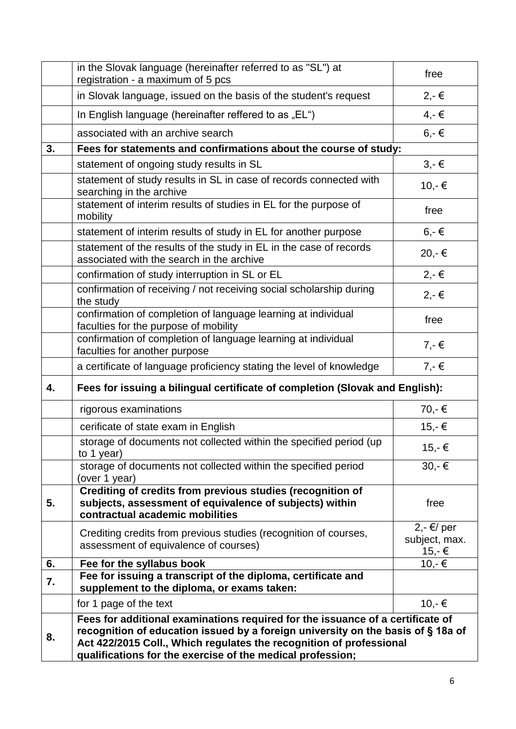|    | in the Slovak language (hereinafter referred to as "SL") at<br>registration - a maximum of 5 pcs                                                                                                                                                                                                       | free                                     |
|----|--------------------------------------------------------------------------------------------------------------------------------------------------------------------------------------------------------------------------------------------------------------------------------------------------------|------------------------------------------|
|    | in Slovak language, issued on the basis of the student's request                                                                                                                                                                                                                                       | $2,-\in$                                 |
|    | In English language (hereinafter reffered to as "EL")                                                                                                                                                                                                                                                  | $4,-€$                                   |
|    | associated with an archive search                                                                                                                                                                                                                                                                      | $6, -6$                                  |
| 3. | Fees for statements and confirmations about the course of study:                                                                                                                                                                                                                                       |                                          |
|    | statement of ongoing study results in SL                                                                                                                                                                                                                                                               | $3,-\in$                                 |
|    | statement of study results in SL in case of records connected with<br>searching in the archive                                                                                                                                                                                                         | 10,-€                                    |
|    | statement of interim results of studies in EL for the purpose of<br>mobility                                                                                                                                                                                                                           | free                                     |
|    | statement of interim results of study in EL for another purpose                                                                                                                                                                                                                                        | $6, -6$                                  |
|    | statement of the results of the study in EL in the case of records<br>associated with the search in the archive                                                                                                                                                                                        | 20,-€                                    |
|    | confirmation of study interruption in SL or EL                                                                                                                                                                                                                                                         | $2,-€$                                   |
|    | confirmation of receiving / not receiving social scholarship during<br>the study                                                                                                                                                                                                                       | $2,-€$                                   |
|    | confirmation of completion of language learning at individual<br>faculties for the purpose of mobility                                                                                                                                                                                                 | free                                     |
|    | confirmation of completion of language learning at individual<br>faculties for another purpose                                                                                                                                                                                                         | $7,-€$                                   |
|    | a certificate of language proficiency stating the level of knowledge                                                                                                                                                                                                                                   | $7, -\in$                                |
| 4. | Fees for issuing a bilingual certificate of completion (Slovak and English):                                                                                                                                                                                                                           |                                          |
|    | rigorous examinations                                                                                                                                                                                                                                                                                  | 70,-€                                    |
|    | cerificate of state exam in English                                                                                                                                                                                                                                                                    | 15,-€                                    |
|    | storage of documents not collected within the specified period (up<br>to 1 year)                                                                                                                                                                                                                       | 15,-€                                    |
|    | storage of documents not collected within the specified period<br>(over 1 year)                                                                                                                                                                                                                        | 30,-€                                    |
| 5. | Crediting of credits from previous studies (recognition of<br>subjects, assessment of equivalence of subjects) within<br>contractual academic mobilities                                                                                                                                               | free                                     |
|    | Crediting credits from previous studies (recognition of courses,<br>assessment of equivalence of courses)                                                                                                                                                                                              | $2,-\in$ / per<br>subject, max.<br>15,-€ |
| 6. | Fee for the syllabus book                                                                                                                                                                                                                                                                              | 10,-€                                    |
| 7. | Fee for issuing a transcript of the diploma, certificate and<br>supplement to the diploma, or exams taken:                                                                                                                                                                                             |                                          |
|    | for 1 page of the text                                                                                                                                                                                                                                                                                 | $10,-$ €                                 |
| 8. | Fees for additional examinations required for the issuance of a certificate of<br>recognition of education issued by a foreign university on the basis of §18a of<br>Act 422/2015 Coll., Which regulates the recognition of professional<br>qualifications for the exercise of the medical profession; |                                          |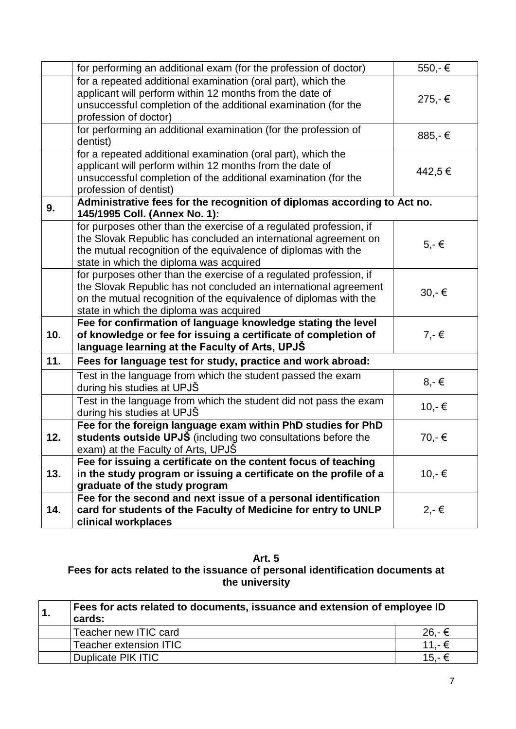|     | for performing an additional exam (for the profession of doctor)                                                                                                                                                                                       | 550,-€    |
|-----|--------------------------------------------------------------------------------------------------------------------------------------------------------------------------------------------------------------------------------------------------------|-----------|
|     | for a repeated additional examination (oral part), which the<br>applicant will perform within 12 months from the date of<br>unsuccessful completion of the additional examination (for the<br>profession of doctor)                                    | 275,-€    |
|     | for performing an additional examination (for the profession of<br>dentist)                                                                                                                                                                            | 885,-€    |
|     | for a repeated additional examination (oral part), which the<br>applicant will perform within 12 months from the date of<br>unsuccessful completion of the additional examination (for the<br>profession of dentist)                                   | 442,5€    |
| 9.  | Administrative fees for the recognition of diplomas according to Act no.<br>145/1995 Coll. (Annex No. 1):                                                                                                                                              |           |
|     | for purposes other than the exercise of a regulated profession, if<br>the Slovak Republic has concluded an international agreement on<br>the mutual recognition of the equivalence of diplomas with the<br>state in which the diploma was acquired     | $5,-\in$  |
|     | for purposes other than the exercise of a regulated profession, if<br>the Slovak Republic has not concluded an international agreement<br>on the mutual recognition of the equivalence of diplomas with the<br>state in which the diploma was acquired | 30,-€     |
| 10. | Fee for confirmation of language knowledge stating the level<br>of knowledge or fee for issuing a certificate of completion of<br>language learning at the Faculty of Arts, UPJS                                                                       | $7,-$ €   |
| 11. | Fees for language test for study, practice and work abroad:                                                                                                                                                                                            |           |
|     | Test in the language from which the student passed the exam<br>during his studies at UPJŠ                                                                                                                                                              | $8, -\in$ |
|     | Test in the language from which the student did not pass the exam<br>during his studies at UPJS                                                                                                                                                        | 10,-€     |
| 12. | Fee for the foreign language exam within PhD studies for PhD<br>students outside UPJS (including two consultations before the<br>exam) at the Faculty of Arts, UPJŠ                                                                                    | 70,-€     |
| 13. | Fee for issuing a certificate on the content focus of teaching<br>in the study program or issuing a certificate on the profile of a<br>graduate of the study program                                                                                   | $10,-$ €  |
| 14. | Fee for the second and next issue of a personal identification<br>card for students of the Faculty of Medicine for entry to UNLP<br>clinical workplaces                                                                                                | $2,-€$    |

**Art. 5 Fees for acts related to the issuance of personal identification documents at the university**

| Fees for acts related to documents, issuance and extension of employee ID<br>cards: |        |
|-------------------------------------------------------------------------------------|--------|
| Teacher new ITIC card                                                               | 26.-€  |
| Teacher extension ITIC                                                              | 11.- € |
| Duplicate PIK ITIC                                                                  | 15.-€  |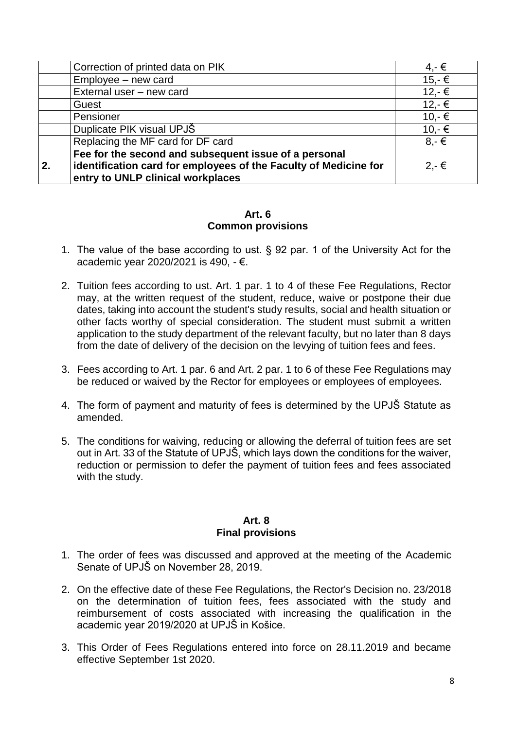|    | Correction of printed data on PIK                                                                                                                              | $4,-€$         |
|----|----------------------------------------------------------------------------------------------------------------------------------------------------------------|----------------|
|    | Employee - new card                                                                                                                                            | $15,-€$        |
|    | External user - new card                                                                                                                                       | $12,-€$        |
|    | Guest                                                                                                                                                          | $12,-€$        |
|    | Pensioner                                                                                                                                                      | $10,-$ €       |
|    | Duplicate PIK visual UPJŠ                                                                                                                                      | $10,-€$        |
|    | Replacing the MF card for DF card                                                                                                                              | $8 - \epsilon$ |
| 2. | Fee for the second and subsequent issue of a personal<br>identification card for employees of the Faculty of Medicine for<br>entry to UNLP clinical workplaces | $2.-€$         |

#### **Art. 6 Common provisions**

- 1. The value of the base according to ust. § 92 par. 1 of the University Act for the academic year 2020/2021 is 490, - €.
- 2. Tuition fees according to ust. Art. 1 par. 1 to 4 of these Fee Regulations, Rector may, at the written request of the student, reduce, waive or postpone their due dates, taking into account the student's study results, social and health situation or other facts worthy of special consideration. The student must submit a written application to the study department of the relevant faculty, but no later than 8 days from the date of delivery of the decision on the levying of tuition fees and fees.
- 3. Fees according to Art. 1 par. 6 and Art. 2 par. 1 to 6 of these Fee Regulations may be reduced or waived by the Rector for employees or employees of employees.
- 4. The form of payment and maturity of fees is determined by the UPJŠ Statute as amended.
- 5. The conditions for waiving, reducing or allowing the deferral of tuition fees are set out in Art. 33 of the Statute of UPJŠ, which lays down the conditions for the waiver, reduction or permission to defer the payment of tuition fees and fees associated with the study.

#### **Art. 8 Final provisions**

- 1. The order of fees was discussed and approved at the meeting of the Academic Senate of UPJŠ on November 28, 2019.
- 2. On the effective date of these Fee Regulations, the Rector's Decision no. 23/2018 on the determination of tuition fees, fees associated with the study and reimbursement of costs associated with increasing the qualification in the academic year 2019/2020 at UPJŠ in Košice.
- 3. This Order of Fees Regulations entered into force on 28.11.2019 and became effective September 1st 2020.